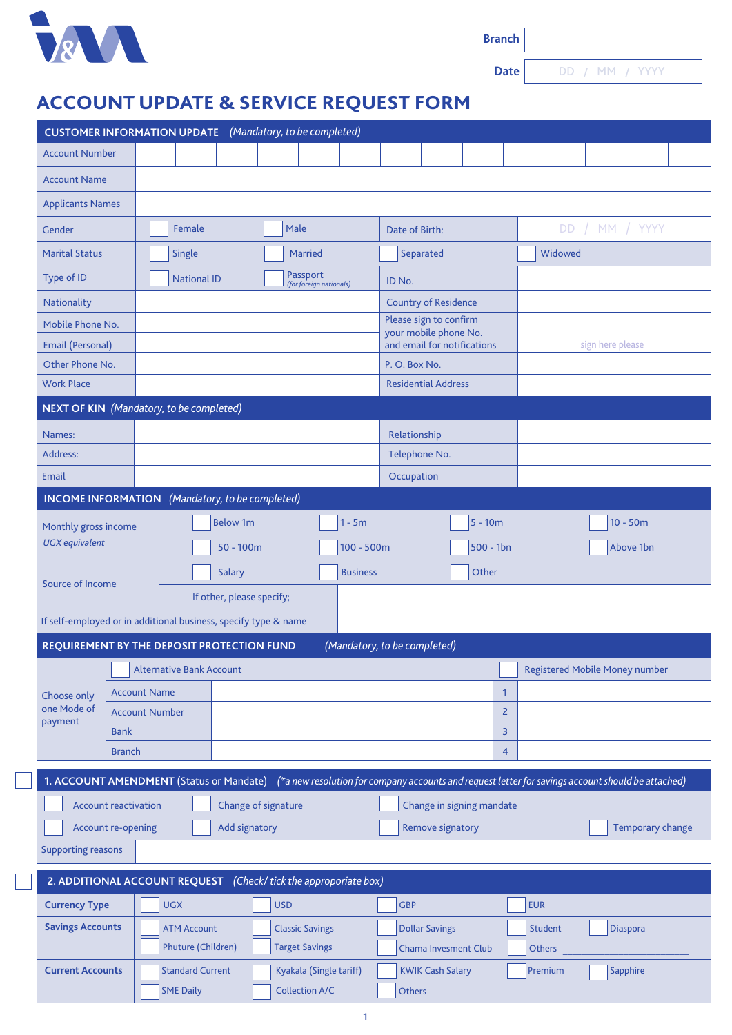

**Date**

DD / MM / YYYY

## **ACCOUNT UPDATE & SERVICE REQUEST FORM**

| (Mandatory, to be completed)<br><b>CUSTOMER INFORMATION UPDATE</b>                                                                          |               |                                          |                    |                                     |                                                  |                             |                                                      |                                                 |                            |                     |                                       |                  |  |  |  |
|---------------------------------------------------------------------------------------------------------------------------------------------|---------------|------------------------------------------|--------------------|-------------------------------------|--------------------------------------------------|-----------------------------|------------------------------------------------------|-------------------------------------------------|----------------------------|---------------------|---------------------------------------|------------------|--|--|--|
| <b>Account Number</b>                                                                                                                       |               |                                          |                    |                                     |                                                  |                             |                                                      |                                                 |                            |                     |                                       |                  |  |  |  |
| <b>Account Name</b>                                                                                                                         |               |                                          |                    |                                     |                                                  |                             |                                                      |                                                 |                            |                     |                                       |                  |  |  |  |
| <b>Applicants Names</b>                                                                                                                     |               |                                          |                    |                                     |                                                  |                             |                                                      |                                                 |                            |                     |                                       |                  |  |  |  |
| Gender                                                                                                                                      |               | Female<br>Male                           |                    |                                     |                                                  |                             | Date of Birth:                                       |                                                 |                            |                     | DD / MM / YYYY                        |                  |  |  |  |
| <b>Marital Status</b>                                                                                                                       |               | Single                                   |                    |                                     |                                                  | <b>Married</b>              |                                                      |                                                 | Separated                  |                     |                                       | Widowed          |  |  |  |
| Type of ID                                                                                                                                  |               |                                          | <b>National ID</b> | Passport<br>(for foreign nationals) |                                                  |                             |                                                      | ID No.                                          |                            |                     |                                       |                  |  |  |  |
| Nationality                                                                                                                                 |               |                                          |                    |                                     |                                                  | <b>Country of Residence</b> |                                                      |                                                 |                            |                     |                                       |                  |  |  |  |
| Mobile Phone No.                                                                                                                            |               |                                          |                    |                                     |                                                  |                             |                                                      | Please sign to confirm<br>your mobile phone No. |                            |                     |                                       |                  |  |  |  |
| <b>Email (Personal)</b>                                                                                                                     |               |                                          |                    |                                     |                                                  |                             |                                                      | and email for notifications                     |                            |                     |                                       | sign here please |  |  |  |
| Other Phone No.                                                                                                                             |               |                                          |                    |                                     |                                                  |                             | P.O. Box No.                                         |                                                 |                            |                     |                                       |                  |  |  |  |
| <b>Work Place</b>                                                                                                                           |               |                                          |                    |                                     |                                                  |                             |                                                      |                                                 | <b>Residential Address</b> |                     |                                       |                  |  |  |  |
| NEXT OF KIN (Mandatory, to be completed)                                                                                                    |               |                                          |                    |                                     |                                                  |                             |                                                      |                                                 |                            |                     |                                       |                  |  |  |  |
| Names:                                                                                                                                      |               |                                          |                    |                                     |                                                  |                             |                                                      | Relationship                                    |                            |                     |                                       |                  |  |  |  |
| Address:                                                                                                                                    |               |                                          |                    |                                     |                                                  |                             | Telephone No.                                        |                                                 |                            |                     |                                       |                  |  |  |  |
| <b>Email</b>                                                                                                                                |               |                                          |                    |                                     |                                                  |                             | Occupation                                           |                                                 |                            |                     |                                       |                  |  |  |  |
| (Mandatory, to be completed)<br><b>INCOME INFORMATION</b>                                                                                   |               |                                          |                    |                                     |                                                  |                             |                                                      |                                                 |                            |                     |                                       |                  |  |  |  |
| Monthly gross income<br><b>UGX</b> equivalent                                                                                               |               | <b>Below 1m</b><br>$1 - 5m$              |                    |                                     |                                                  |                             |                                                      | $5 - 10m$                                       |                            |                     | $10 - 50m$                            |                  |  |  |  |
|                                                                                                                                             |               | $50 - 100m$                              |                    |                                     | $100 - 500m$                                     | $500 - 1bn$                 |                                                      |                                                 | Above 1bn                  |                     |                                       |                  |  |  |  |
|                                                                                                                                             |               | Salary                                   |                    |                                     |                                                  | <b>Business</b>             | Other                                                |                                                 |                            |                     |                                       |                  |  |  |  |
| Source of Income                                                                                                                            |               | If other, please specify;                |                    |                                     |                                                  |                             |                                                      |                                                 |                            |                     |                                       |                  |  |  |  |
| If self-employed or in additional business, specify type & name                                                                             |               |                                          |                    |                                     |                                                  |                             |                                                      |                                                 |                            |                     |                                       |                  |  |  |  |
| REQUIREMENT BY THE DEPOSIT PROTECTION FUND                                                                                                  |               |                                          |                    |                                     |                                                  |                             | (Mandatory, to be completed)                         |                                                 |                            |                     |                                       |                  |  |  |  |
|                                                                                                                                             |               | Alternative Bank Account                 |                    |                                     |                                                  |                             |                                                      |                                                 |                            |                     | <b>Registered Mobile Money number</b> |                  |  |  |  |
|                                                                                                                                             |               | <b>Account Name</b>                      |                    |                                     |                                                  |                             |                                                      | 1                                               |                            |                     |                                       |                  |  |  |  |
| Choose only<br>one Mode of                                                                                                                  |               | <b>Account Number</b>                    |                    |                                     |                                                  |                             |                                                      | $\overline{2}$                                  |                            |                     |                                       |                  |  |  |  |
| payment                                                                                                                                     | <b>Bank</b>   |                                          |                    |                                     |                                                  |                             |                                                      | 3                                               |                            |                     |                                       |                  |  |  |  |
|                                                                                                                                             | <b>Branch</b> |                                          |                    |                                     |                                                  |                             |                                                      | 4                                               |                            |                     |                                       |                  |  |  |  |
| 1. ACCOUNT AMENDMENT (Status or Mandate) (*a new resolution for company accounts and request letter for savings account should be attached) |               |                                          |                    |                                     |                                                  |                             |                                                      |                                                 |                            |                     |                                       |                  |  |  |  |
| <b>Account reactivation</b><br>Change of signature<br>Change in signing mandate                                                             |               |                                          |                    |                                     |                                                  |                             |                                                      |                                                 |                            |                     |                                       |                  |  |  |  |
| Account re-opening<br>Add signatory<br>Remove signatory<br><b>Temporary change</b>                                                          |               |                                          |                    |                                     |                                                  |                             |                                                      |                                                 |                            |                     |                                       |                  |  |  |  |
| <b>Supporting reasons</b>                                                                                                                   |               |                                          |                    |                                     |                                                  |                             |                                                      |                                                 |                            |                     |                                       |                  |  |  |  |
| 2. ADDITIONAL ACCOUNT REQUEST (Check/tick the approporiate box)                                                                             |               |                                          |                    |                                     |                                                  |                             |                                                      |                                                 |                            |                     |                                       |                  |  |  |  |
| <b>UGX</b><br><b>USD</b><br><b>GBP</b><br><b>EUR</b>                                                                                        |               |                                          |                    |                                     |                                                  |                             |                                                      |                                                 |                            |                     |                                       |                  |  |  |  |
| <b>Currency Type</b>                                                                                                                        |               |                                          |                    |                                     |                                                  |                             |                                                      |                                                 |                            |                     |                                       |                  |  |  |  |
| <b>Savings Accounts</b>                                                                                                                     |               | <b>ATM Account</b><br>Phuture (Children) |                    |                                     | <b>Classic Savings</b><br><b>Target Savings</b>  |                             | <b>Dollar Savings</b><br><b>Chama Invesment Club</b> |                                                 |                            | Student<br>Others   |                                       | Diaspora         |  |  |  |
| <b>Current Accounts</b>                                                                                                                     |               |                                          |                    |                                     |                                                  |                             |                                                      |                                                 |                            |                     |                                       |                  |  |  |  |
|                                                                                                                                             |               | <b>Standard Current</b>                  |                    |                                     | Kyakala (Single tariff)<br><b>Collection A/C</b> |                             | <b>KWIK Cash Salary</b>                              |                                                 |                            | Premium<br>Sapphire |                                       |                  |  |  |  |
|                                                                                                                                             |               | <b>SME Daily</b>                         |                    |                                     |                                                  |                             | Others                                               |                                                 |                            |                     |                                       |                  |  |  |  |